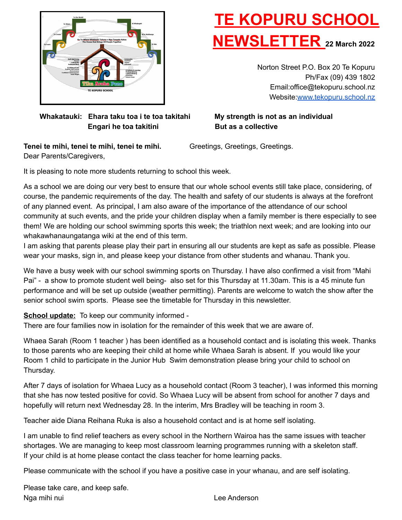

# **TE KOPURU SCHOOL NEWSLETTER <sup>22</sup> March <sup>2022</sup>**

Norton Street P.O. Box 20 Te Kopuru Ph/Fax (09) 439 1802 Email:office@tekopuru.school.nz Website:[www.tekopuru.school.nz](http://www.tekopuru.school.nz)

### **Whakatauki: Ehara taku toa i te toa takitahi My strength is not as an individual Engari he toa takitini But as a collective**

**Tenei te mihi, tenei te mihi, tenei te mihi.** Greetings, Greetings, Greetings. Dear Parents/Caregivers,

It is pleasing to note more students returning to school this week.

As a school we are doing our very best to ensure that our whole school events still take place, considering, of course, the pandemic requirements of the day. The health and safety of our students is always at the forefront of any planned event. As principal, I am also aware of the importance of the attendance of our school community at such events, and the pride your children display when a family member is there especially to see them! We are holding our school swimming sports this week; the triathlon next week; and are looking into our whakawhanaungatanga wiki at the end of this term.

I am asking that parents please play their part in ensuring all our students are kept as safe as possible. Please wear your masks, sign in, and please keep your distance from other students and whanau. Thank you.

We have a busy week with our school swimming sports on Thursday. I have also confirmed a visit from "Mahi Pai" - a show to promote student well being- also set for this Thursday at 11.30am. This is a 45 minute fun performance and will be set up outside (weather permitting). Parents are welcome to watch the show after the senior school swim sports. Please see the timetable for Thursday in this newsletter.

**School update:** To keep our community informed -

There are four families now in isolation for the remainder of this week that we are aware of.

Whaea Sarah (Room 1 teacher ) has been identified as a household contact and is isolating this week. Thanks to those parents who are keeping their child at home while Whaea Sarah is absent. If you would like your Room 1 child to participate in the Junior Hub Swim demonstration please bring your child to school on Thursday.

After 7 days of isolation for Whaea Lucy as a household contact (Room 3 teacher), I was informed this morning that she has now tested positive for covid. So Whaea Lucy will be absent from school for another 7 days and hopefully will return next Wednesday 28. In the interim, Mrs Bradley will be teaching in room 3.

Teacher aide Diana Reihana Ruka is also a household contact and is at home self isolating.

I am unable to find relief teachers as every school in the Northern Wairoa has the same issues with teacher shortages. We are managing to keep most classroom learning programmes running with a skeleton staff. If your child is at home please contact the class teacher for home learning packs.

Please communicate with the school if you have a positive case in your whanau, and are self isolating.

Please take care, and keep safe. Nga mihi nui Lee Anderson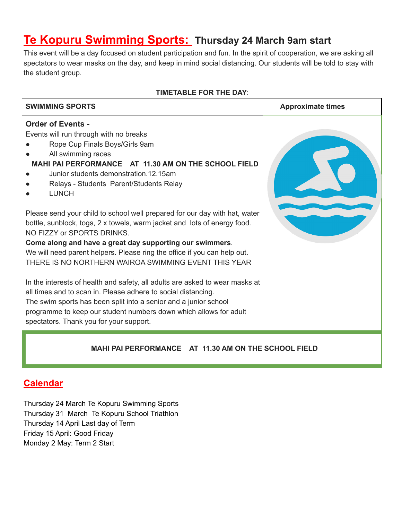### **Te Kopuru Swimming Sports: Thursday 24 March 9am start**

This event will be a day focused on student participation and fun. In the spirit of cooperation, we are asking all spectators to wear masks on the day, and keep in mind social distancing. Our students will be told to stay with the student group.

#### **TIMETABLE FOR THE DAY**:



### **Calendar**

Thursday 24 March Te Kopuru Swimming Sports Thursday 31 March Te Kopuru School Triathlon Thursday 14 April Last day of Term Friday 15 April: Good Friday Monday 2 May: Term 2 Start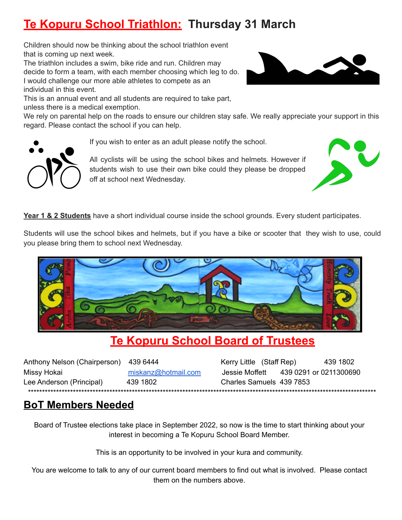# **Te Kopuru School Triathlon: Thursday 31 March**

Children should now be thinking about the school triathlon event that is coming up next week.

The triathlon includes a swim, bike ride and run. Children may decide to form a team, with each member choosing which leg to do. I would challenge our more able athletes to compete as an individual in this event.

This is an annual event and all students are required to take part, unless there is a medical exemption.

We rely on parental help on the roads to ensure our children stay safe. We really appreciate your support in this regard. Please contact the school if you can help.

If you wish to enter as an adult please notify the school.

All cyclists will be using the school bikes and helmets. However if students wish to use their own bike could they please be dropped off at school next Wednesday.

**Year 1 & 2 Students** have a short individual course inside the school grounds. Every student participates.

Students will use the school bikes and helmets, but if you have a bike or scooter that they wish to use, could you please bring them to school next Wednesday.



### **Te Kopuru School Board of Trustees**

| Anthony Nelson (Chairperson) | 439 6444            |
|------------------------------|---------------------|
| Missy Hokai                  | miskanz@hotmail.con |
| Lee Anderson (Principal)     | 439 1802            |
|                              |                     |

Kerry Little (Staff Rep) 439 1802 m Jessie Moffett 439 0291 or 0211300690 Charles Samuels 439 7853 \*\*\*\*\*\*\*\*\*\*\*\*\*\*\*\*\*\*\*\*\*\*\*\*\*\*\*\*\*\*\*\*\*\*\*\*\*\*\*\*\*\*\*\*\*\*\*\*\*\*\*\*\*\*\*\*\*\*\*\*\*\*\*\*\*\*\*\*\*\*\*\*\*\*\*\*\*\*\*\*\*\*\*\*\*\*\*\*\*\*\*\*\*\*\*\*\*\*\*\*\*\*\*\*\*\*\*\*\*\*\*\*\*\*\*\*\*\*\*\*\*\*\*\*

### **BoT Members Needed**

Board of Trustee elections take place in September 2022, so now is the time to start thinking about your interest in becoming a Te Kopuru School Board Member.

This is an opportunity to be involved in your kura and community.

You are welcome to talk to any of our current board members to find out what is involved. Please contact them on the numbers above.